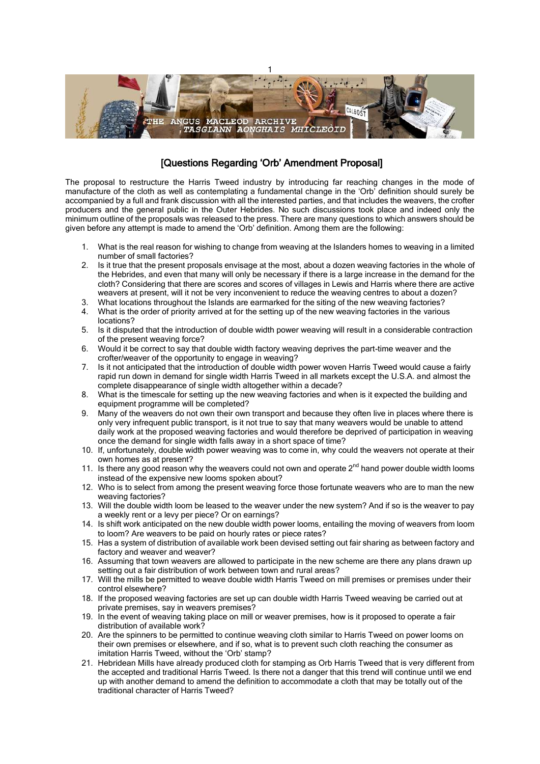

## [Questions Regarding 'Orb' Amendment Proposal]

The proposal to restructure the Harris Tweed industry by introducing far reaching changes in the mode of manufacture of the cloth as well as contemplating a fundamental change in the 'Orb' definition should surely be accompanied by a full and frank discussion with all the interested parties, and that includes the weavers, the crofter producers and the general public in the Outer Hebrides. No such discussions took place and indeed only the minimum outline of the proposals was released to the press. There are many questions to which answers should be given before any attempt is made to amend the 'Orb' definition. Among them are the following:

- 1. What is the real reason for wishing to change from weaving at the Islanders homes to weaving in a limited number of small factories?
- 2. Is it true that the present proposals envisage at the most, about a dozen weaving factories in the whole of the Hebrides, and even that many will only be necessary if there is a large increase in the demand for the cloth? Considering that there are scores and scores of villages in Lewis and Harris where there are active weavers at present, will it not be very inconvenient to reduce the weaving centres to about a dozen?
- 3. What locations throughout the Islands are earmarked for the siting of the new weaving factories?
- 4. What is the order of priority arrived at for the setting up of the new weaving factories in the various locations?
- 5. Is it disputed that the introduction of double width power weaving will result in a considerable contraction of the present weaving force?
- 6. Would it be correct to say that double width factory weaving deprives the part-time weaver and the crofter/weaver of the opportunity to engage in weaving?
- 7. Is it not anticipated that the introduction of double width power woven Harris Tweed would cause a fairly rapid run down in demand for single width Harris Tweed in all markets except the U.S.A. and almost the complete disappearance of single width altogether within a decade?
- 8. What is the timescale for setting up the new weaving factories and when is it expected the building and equipment programme will be completed?
- 9. Many of the weavers do not own their own transport and because they often live in places where there is only very infrequent public transport, is it not true to say that many weavers would be unable to attend daily work at the proposed weaving factories and would therefore be deprived of participation in weaving once the demand for single width falls away in a short space of time?
- 10. If, unfortunately, double width power weaving was to come in, why could the weavers not operate at their own homes as at present?
- 11. Is there any good reason why the weavers could not own and operate  $2<sup>nd</sup>$  hand power double width looms instead of the expensive new looms spoken about?
- 12. Who is to select from among the present weaving force those fortunate weavers who are to man the new weaving factories?
- 13. Will the double width loom be leased to the weaver under the new system? And if so is the weaver to pay a weekly rent or a levy per piece? Or on earnings?
- 14. Is shift work anticipated on the new double width power looms, entailing the moving of weavers from loom to loom? Are weavers to be paid on hourly rates or piece rates?
- 15. Has a system of distribution of available work been devised setting out fair sharing as between factory and factory and weaver and weaver?
- 16. Assuming that town weavers are allowed to participate in the new scheme are there any plans drawn up setting out a fair distribution of work between town and rural areas?
- 17. Will the mills be permitted to weave double width Harris Tweed on mill premises or premises under their control elsewhere?
- 18. If the proposed weaving factories are set up can double width Harris Tweed weaving be carried out at private premises, say in weavers premises?
- 19. In the event of weaving taking place on mill or weaver premises, how is it proposed to operate a fair distribution of available work?
- 20. Are the spinners to be permitted to continue weaving cloth similar to Harris Tweed on power looms on their own premises or elsewhere, and if so, what is to prevent such cloth reaching the consumer as imitation Harris Tweed, without the 'Orb' stamp?
- 21. Hebridean Mills have already produced cloth for stamping as Orb Harris Tweed that is very different from the accepted and traditional Harris Tweed. Is there not a danger that this trend will continue until we end up with another demand to amend the definition to accommodate a cloth that may be totally out of the traditional character of Harris Tweed?